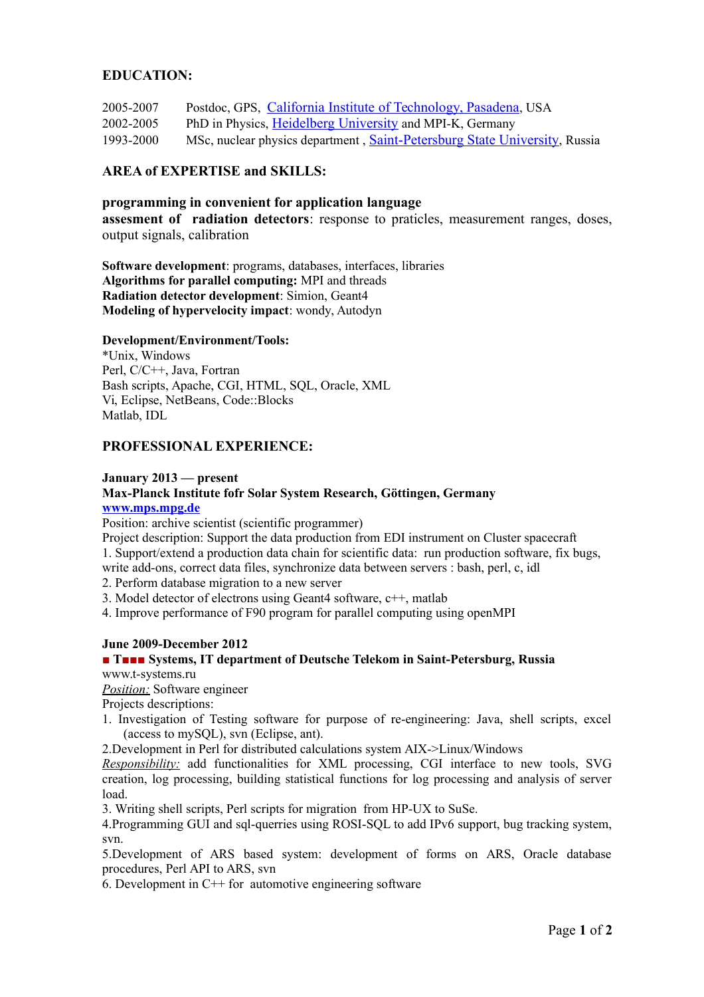## **EDUCATION:**

- 2005-2007 Postdoc, GPS, [California Institute of Technology, Pasadena](http://www.gps.caltech.edu/), USA
- 2002-2005 PhD in Physics, [Heidelberg University](http://www.uni-heidelberg.de/) and MPI-K, Germany
- 1993-2000 MSc, nuclear physics department , [Saint-Petersburg State University](http://eng.spbu.ru/), Russia

# **AREA of EXPERTISE and SKILLS:**

#### **programming in convenient for application language assesment of radiation detectors**: response to praticles, measurement ranges, doses, output signals, calibration

**Software development**: programs, databases, interfaces, libraries **Algorithms for parallel computing:** MPI and threads **Radiation detector development**: Simion, Geant4 **Modeling of hypervelocity impact**: wondy, Autodyn

#### **Development/Environment/Tools:**

\*Unix, Windows Perl, C/C++, Java, Fortran Bash scripts, Apache, CGI, HTML, SQL, Oracle, XML Vi, Eclipse, NetBeans, Code::Blocks Matlab, IDL

## **PROFESSIONAL EXPERIENCE:**

#### **January 2013 — present**

## **Max-Planck Institute fofr Solar System Research, Göttingen, Germany [www.mps.mpg.de](http://www.mps.mpg.de/)**

Position: archive scientist (scientific programmer)

Project description: Support the data production from EDI instrument on Cluster spacecraft

1. Support/extend a production data chain for scientific data: run production software, fix bugs,

write add-ons, correct data files, synchronize data between servers : bash, perl, c, idl 2. Perform database migration to a new server

3. Model detector of electrons using Geant4 software, c++, matlab

4. Improve performance of F90 program for parallel computing using openMPI

## **June 2009-December 2012**

# **■ T■■■ Systems, IT department of Deutsche Telekom in Saint-Petersburg, Russia**

www.t-systems.ru

*Position:* Software engineer

Projects descriptions:

1. Investigation of Testing software for purpose of re-engineering: Java, shell scripts, excel (access to mySQL), svn (Eclipse, ant).

2.Development in Perl for distributed calculations system AIX->Linux/Windows

*Responsibility:* add functionalities for XML processing, CGI interface to new tools, SVG creation, log processing, building statistical functions for log processing and analysis of server load.

3. Writing shell scripts, Perl scripts for migration from HP-UX to SuSe.

4.Programming GUI and sql-querries using ROSI-SQL to add IPv6 support, bug tracking system, svn.

5.Development of ARS based system: development of forms on ARS, Oracle database procedures, Perl API to ARS, svn

6. Development in  $C^{++}$  for automotive engineering software